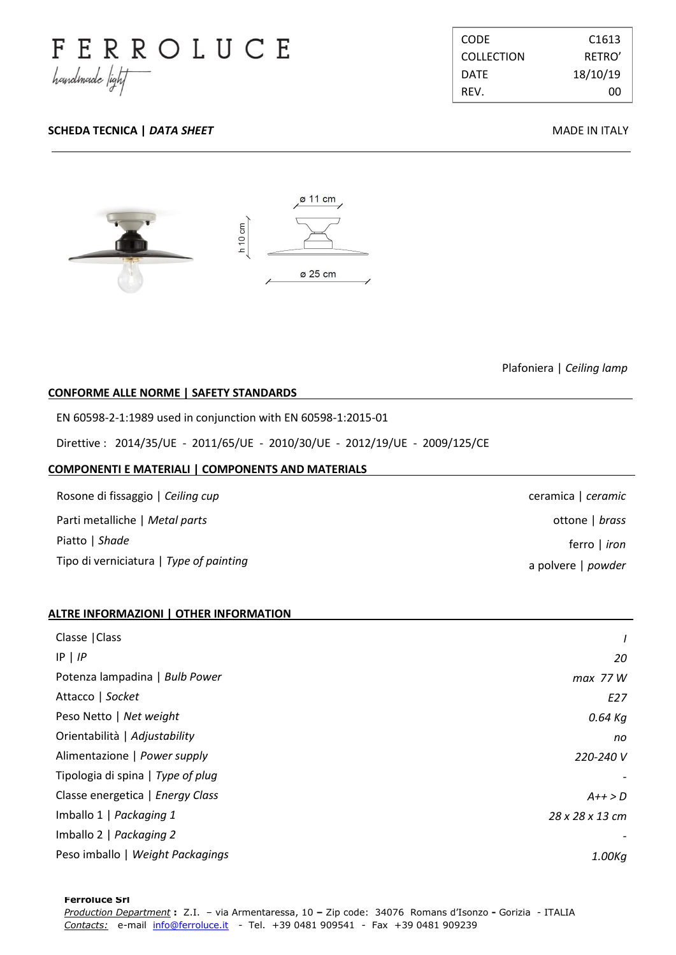

| <b>CODE</b>       | C <sub>1613</sub> |
|-------------------|-------------------|
| <b>COLLECTION</b> | RFTRO'            |
| <b>DATF</b>       | 18/10/19          |
| RFV.              | ററ                |

# **SCHEDA TECNICA |** *DATA SHEET* **MADE IN ITALY**



Plafoniera | *Ceiling lamp*

ceramica | *ceramic*

a polvere | *powder*

ottone | *brass*

ferro | *iron*

## **CONFORME ALLE NORME | SAFETY STANDARDS .**

EN 60598-2-1:1989 used in conjunction with EN 60598-1:2015-01

Direttive : 2014/35/UE - 2011/65/UE - 2010/30/UE - 2012/19/UE - 2009/125/CE

#### **COMPONENTI E MATERIALI | COMPONENTS AND MATERIALS .**

Rosone di fissaggio | *Ceiling cup* Parti metalliche | *Metal parts* Piatto | *Shade* Tipo di verniciatura | *Type of painting*

### **ALTRE INFORMAZIONI | OTHER INFORMATION .**

| Classe   Class                    | $\prime$        |
|-----------------------------------|-----------------|
| $IP$   $IP$                       | 20              |
| Potenza lampadina   Bulb Power    | max 77W         |
| Attacco   Socket                  | E27             |
| Peso Netto   Net weight           | 0.64 Kg         |
| Orientabilità   Adjustability     | no              |
| Alimentazione   Power supply      | 220-240 V       |
| Tipologia di spina   Type of plug |                 |
| Classe energetica   Energy Class  | $A++>D$         |
| Imballo 1   Packaging 1           | 28 x 28 x 13 cm |
| Imballo 2   Packaging 2           |                 |
| Peso imballo   Weight Packagings  | 1.00Kg          |

. .

**Ferroluce Srl**  *Production Department* **:** Z.I. – via Armentaressa, 10 **–** Zip code:34076 Romans d'Isonzo **-** Gorizia - ITALIA *Contacts:* e-mail info@ferroluce.it *-* Tel. +39 0481 909541 *-* Fax +39 0481 909239